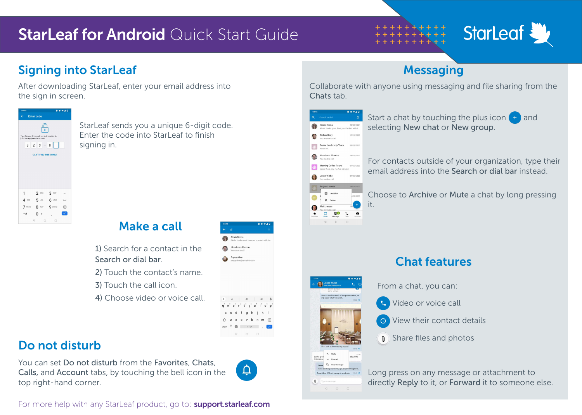## **StarLeaf for Android Quick Start Guide**



## **Signing into StarLeaf Messaging Signing into StarLeaf Messaging**

After downloading StarLeaf, enter your email address into the sign in screen.



StarLeaf sends you a unique 6-digit code. Enter the code into Starl eaf to finish signing in.



1) Search for a contact in the Search or dial bar.

2) Touch the contact's name.

- 3) Touch the call icon.
- 4) Choose video or voice call.



- 
- 

## Do not disturb

You can set Do not disturb from the Favorites, Chats, Calls, and Account tabs, by touching the bell icon in the top right-hand corner.



 $\pi$  - EN  $\begin{matrix} \nabla & \mathbf{0} & \mathbf{0} \end{matrix}$ 

For more help with any StarLeaf product, go to: **support.starleaf.com** 

Collaborate with anyone using messaging and file sharing from the Chats tab.



Matt Jansen

 $\begin{tabular}{|c|c|c|c|c|} \hline \quad & \quad & \quad & \quad & \quad & \quad & \quad & \quad \\ \hline \quad \quad & \quad & \quad & \quad & \quad & \quad & \quad & \quad & \quad & \quad \\ \hline \text{Chots} & \quad & \quad & \quad & \quad & \quad & \quad & \quad & \quad \\ \hline \end{tabular}$  $\begin{array}{ccc} \triangleleft & \circ & \circ \end{array}$ 

 $\Box$ 

it.

 $\theta$ 

Start a chat by touching the plus icon  $\Box$  and selecting New chat or New group.

For contacts outside of your organization, type their email address into the Search or dial bar instead.

Choose to Archive or Mute a chat by long pressing



## Chat features

From a chat, you can:

Video or voice call

View their contact details

**O**) Share files and photos

Long press on any message or attachment to directly Reply to it, or Forward it to someone else.